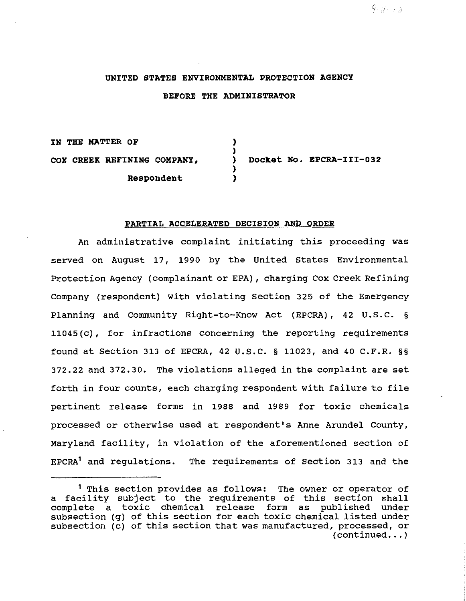## **UNITED STATES ENVIRONMENTAL PROTECTION AGENCY BEFORE THE ADMINISTRATOR**

**IN THE MATTER OF COX CREEK REFINING COMPANY, Respondent**  ) ) ) **Docket No. EPCRA-III-032**  ) )

## **PARTIAL ACCELERATED DECISION AND ORDER**

An administrative complaint initiating this proceeding was served on August 17, 1990 by the United States Environmental Protection Agency (complainant or EPA), charging Cox Creek Refining Company (respondent) with violating Section 325 of the Emergency Planning and Community Right-to-Know Act (EPCRA), 42 u.s.c. § 11045 (c), for infractions concerning the reporting requirements found at Section 313 of EPCRA, 42 u.s.c. § 11023, and 40 C.F.R. §§ 372.22 and 372.30. The violations alleged in the complaint are set forth in four counts, each charging respondent with failure to file pertinent release forms in 1988 and 1989 for toxic chemicals processed or otherwise used at respondent's Anne Arundel County, Maryland facility, in violation of the aforementioned section of EPCRA<sup>1</sup> and regulations. The requirements of Section 313 and the

 $9.4.73$ 

<sup>1</sup> This section provides as follows: The owner or operator of a facility subject to the requirements of this section shall complete a toxic chemical release form as published under subsection (g) of this section for each toxic chemical listed under subsection (c) of this section that was manufactured, processed, or  $(continued... )$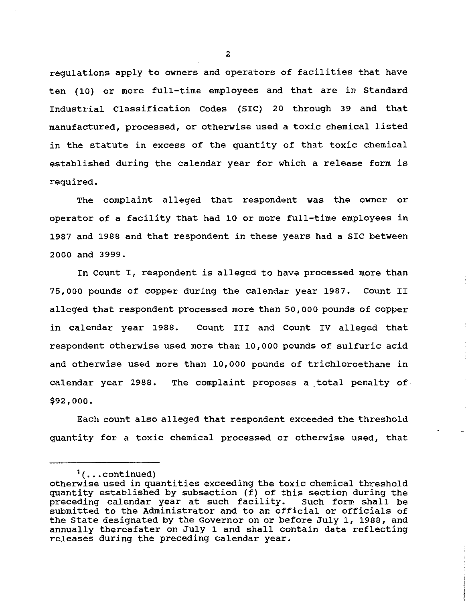regulations apply to owners and operators of facilities that have ten (10) or more full-time employees and that are in Standard Industrial Classification Codes (SIC) 20 through 39 and that manufactured, processed, or otherwise used a toxic chemical listed in the statute *in* excess of the quantity of that toxic chemical established during the calendar year for which a release form is required.

The complaint alleged that respondent was the owner or operator of a facility that had 10 or more full-time employees in 1987 and 1988 and that respondent in these years had a SIC between 2000 and 3999.

In Count I, respondent is alleged to have processed more than 75,000 pounds of copper during the calendar year 1987. Count II alleged that respondent processed more than 50,000 pounds of copper in calendar year 1988. Count III and Count IV alleged that respondent otherwise used more than 10,000 pounds of sulfuric acid and otherwise used more than 10,000 pounds of trichloroethane *in*  calendar year 1988. The complaint proposes a total penalty of \$92,000.

Each count also alleged that respondent exceeded the threshold quantity for a toxic chemical processed or otherwise used, that

 $($ ...continued)

otherwise used in quantities exceeding the toxic chemical threshold quantity established by subsection (f) of this section during the preceding calendar year at such facility. Such form shall be submitted to the Administrator and to an official or officials of the State designated by the Governor on or before July 1, 1988, and annually thereafater on July 1 and shall contain data reflecting releases during the preceding calendar year.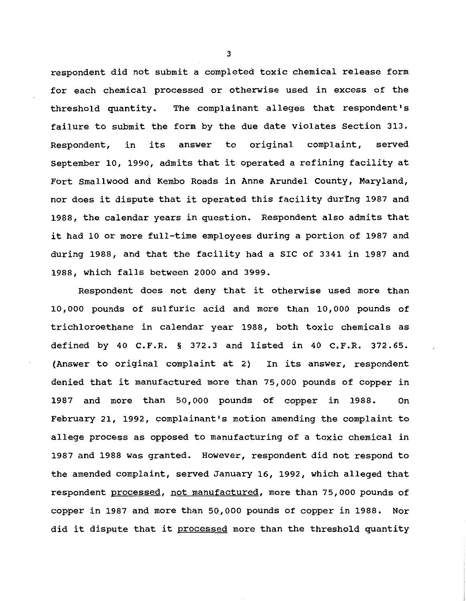respondent did not submit a completed toxic chemical release form for each chemical processed or otherwise used in excess of the threshold quantity. The complainant alleges that respondent's failure to submit the form by the due date violates Section 313. Respondent, in its answer to original complaint, served September 10, 1990, admits that it operated a refining facility at Fort Smallwood and Kembo Roads in Anne Arundel County, Maryland, nor does it dispute that it operated this facility during 1987 and 1988, the calendar years in question. Respondent also admits that it had 10 or more full-time employees during a portion of 1987 and during 1988, and that the facility had a SIC of 3341 in 1987 and 1988, which falls between 2000 and 3999.

Respondent does not deny that it otherwise used more than 10,000 pounds of sulfuric acid and more than 10,000 pounds of trichloroethane in calendar year 1988, both toxic chemicals as defined by 40 C.F.R. § 372.3 and listed in 40 C.F.R. 372.65. (Answer to original complaint at 2) In its answer, respondent denied that it manufactured more than 75,000 pounds of copper in 1987 and more than 50,000 pounds of copper in 1988. On February 21, 1992, complainant's motion amending the complaint to allege process as opposed to manufacturing of a toxic chemical in 1987 and 1988 was granted. However, respondent did not respond to the amended complaint, served January 16, 1992, which alleged that respondent processed, not manufactured, more than 75,000 pounds of copper in 1987 and more than 50,000 pounds of copper in 1988. Nor did it dispute that it processed more than the threshold quantity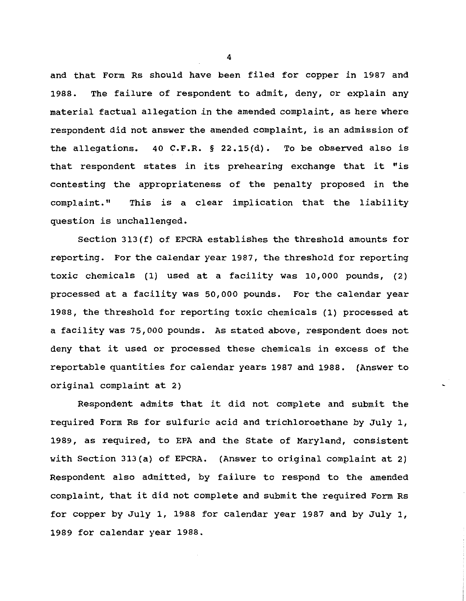and that Form Rs should have been filed for copper in 1987 and 1988. The failure of respondent to admit, deny, or explain any material factual allegation in the amended complaint, as here where respondent did not answer the amended complaint, is an admission of the allegations. 40 C.F.R. § 22.15(d). To be observed also is that respondent states in its prehearing exchange that it "is contesting the appropriateness of the penalty proposed in the complaint." This is a clear implication that the liability question is unchallenged.

Section 313(f) of EPCRA establishes the threshold amounts for reporting. For the calendar year 1987, the threshold for reporting toxic chemicals (1) used at a facility was 10,000 pounds, (2) processed at a facility was 50,000 pounds. For the calendar year 1988, the threshold for reporting toxic chemicals (1) processed at a facility was 75,000 pounds. As stated above, respondent does not deny that it used or processed these chemicals in excess of the reportable quantities for calendar years 1987 and 1988. (Answer to original complaint at 2)

Respondent admits that it did not complete and submit the required Form Rs for sulfuric acid and trichloroethane by July 1, 1989, as required, to EPA and the state of Maryland, consistent with Section 313(a) of EPCRA. (Answer to original complaint at 2) Respondent also admitted, by failure to respond to the amended complaint, that it did not complete and submit the required Form Rs for copper by July 1, 1988 for calendar year 1987 and by July 1, 1989 for calendar year 1988.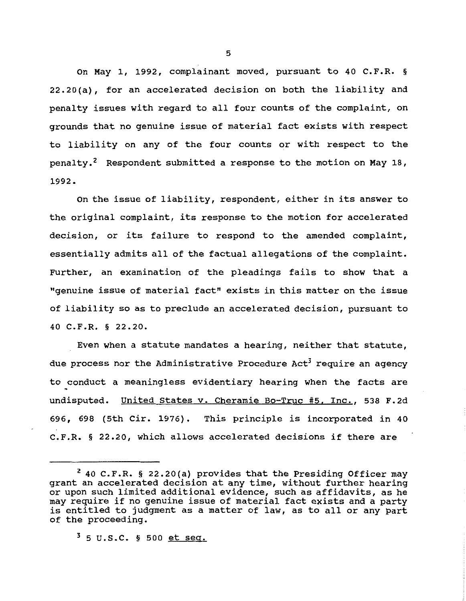On May 1, 1992, complainant moved, pursuant to 40 C.F.R. § 22.20(a), for an accelerated decision on both the liability and penalty issues with regard to all four counts of the complaint, on grounds that no genuine issue of material fact exists with respect to liability on any of the four counts or with respect to the penalty.<sup>2</sup> Respondent submitted a response to the motion on May 18, 1992.

On the issue of liability, respondent, either in its answer to the original complaint, its response to the motion for accelerated decision, or its failure to respond to the amended complaint, essentially admits all of the factual allegations of the complaint. Further, an examination of the pleadings fails to show that a "genuine issue of material fact" exists in this matter on the issue of liability so as to preclude an accelerated decision, pursuant to 40 C.F.R. § 22.20.

Even when a statute mandates a hearing, neither that statute, due process nor the Administrative Procedure Act<sup>3</sup> require an agency to conduct a meaningless evidentiary hearing when the facts are undisputed. United States v. Cheramie Bo-Truc #5. Inc., 538 F.2d 696, 698 (5th Cir. 1976). This principle is incorporated in 40 C.F.R. § 22.20, which allows accelerated decisions if there are

 $35 \text{ U.S.C. }$  \$ 500 et seq.

<sup>2 40</sup> C.F.R. § 22.20(a) provides that the Presiding Officer may grant an accelerated decision at any time, without further hearing or upon such limited additional evidence, such as affidavits, as he may require if no genuine issue of material fact exists and a party is entitled to judgment as a matter of law, as to all or any part of the proceeding.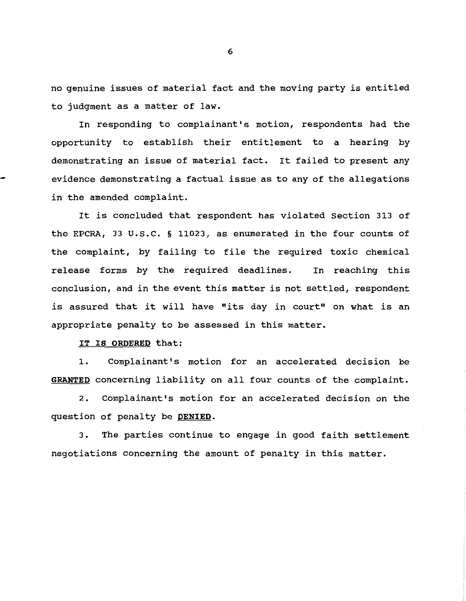no genuine issues of material fact and the moving party is entitled to judgment as a matter of law.

In responding to complainant's motion, respondents had the opportunity to establish their entitlement to a hearing by demonstrating an issue of material fact. It failed to present any evidence demonstrating a factual issue as to any of the allegations in the amended complaint.

It is concluded that respondent has violated Section 313 of the EPCRA, 33 u.s.c. § 11023, as enumerated in the four counts of the complaint, by failing to file the required toxic chemical release forms by the required deadlines. In reaching this conclusion, and in the event this matter is not settled, respondent is assured that it will have "its day in court" on what is an appropriate penalty to be assessed in this matter.

## IT IS ORDERED that:

1. Complainant's motion for an accelerated decision be GRANTED concerning liability on all four counts of the complaint.

2. Complainant's motion for an accelerated decision on the question of penalty be DENIED.

3. The parties continue to engage in good faith settlement negotiations concerning the amount of penalty in this matter.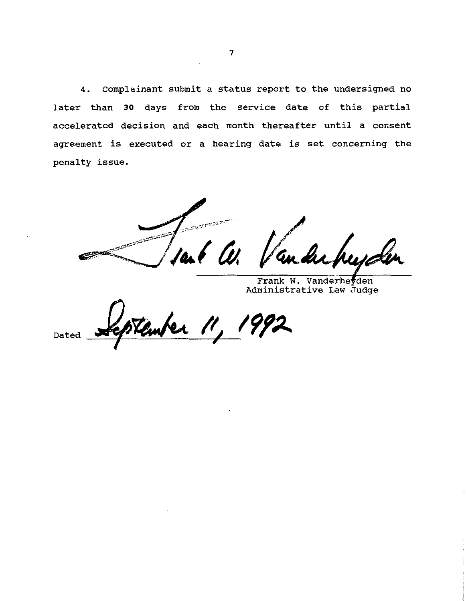4. Complainant submit a status report to the undersigned no later than 30 days from the service date of this partial accelerated decision and each month thereafter until a consent agreement is executed or a hearing date is set concerning the penalty issue.

 $\sim$   $\sim$   $\sim$ and the first page of the contract of the contract of the contract of the contract of the contract of the contract of the contract of the contract of the contract of the contract of the contract of the contract of the cont

Frank W. Vanderheyden Administrative Law Judge

Dated